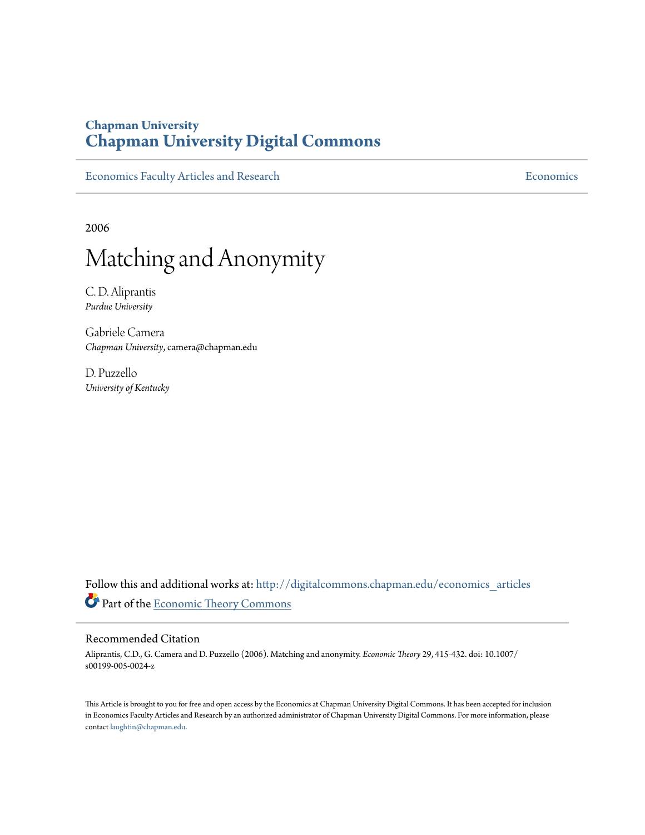# **Chapman University [Chapman University Digital Commons](http://digitalcommons.chapman.edu?utm_source=digitalcommons.chapman.edu%2Feconomics_articles%2F63&utm_medium=PDF&utm_campaign=PDFCoverPages)**

[Economics Faculty Articles and Research](http://digitalcommons.chapman.edu/economics_articles?utm_source=digitalcommons.chapman.edu%2Feconomics_articles%2F63&utm_medium=PDF&utm_campaign=PDFCoverPages) **[Economics](http://digitalcommons.chapman.edu/economics?utm_source=digitalcommons.chapman.edu%2Feconomics_articles%2F63&utm_medium=PDF&utm_campaign=PDFCoverPages)** Economics

2006

# Matching and Anonymity

C. D. Aliprantis *Purdue University*

Gabriele Camera *Chapman University*, camera@chapman.edu

D. Puzzello *University of Kentucky*

Follow this and additional works at: [http://digitalcommons.chapman.edu/economics\\_articles](http://digitalcommons.chapman.edu/economics_articles?utm_source=digitalcommons.chapman.edu%2Feconomics_articles%2F63&utm_medium=PDF&utm_campaign=PDFCoverPages) Part of the [Economic Theory Commons](http://network.bepress.com/hgg/discipline/344?utm_source=digitalcommons.chapman.edu%2Feconomics_articles%2F63&utm_medium=PDF&utm_campaign=PDFCoverPages)

#### Recommended Citation

Aliprantis, C.D., G. Camera and D. Puzzello (2006). Matching and anonymity. *Economic Theory* 29, 415-432. doi: 10.1007/ s00199-005-0024-z

This Article is brought to you for free and open access by the Economics at Chapman University Digital Commons. It has been accepted for inclusion in Economics Faculty Articles and Research by an authorized administrator of Chapman University Digital Commons. For more information, please contact [laughtin@chapman.edu](mailto:laughtin@chapman.edu).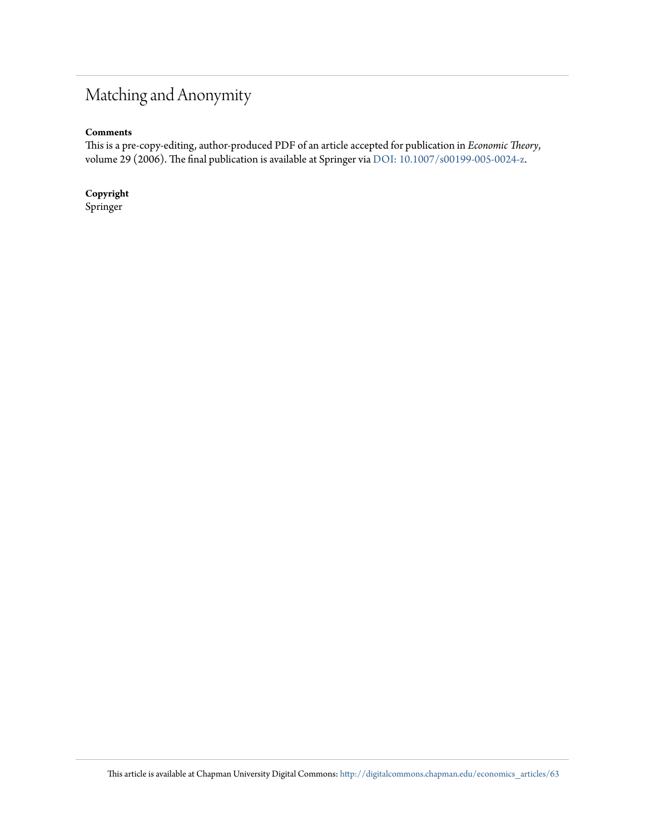# Matching and Anonymity

#### **Comments**

This is a pre-copy-editing, author-produced PDF of an article accepted for publication in *Economic Theory*, volume 29 (2006). The final publication is available at Springer via [DOI: 10.1007/s00199-005-0024-z](http://dx.doi.org/10.1007/s00199-005-0024-z).

**Copyright** Springer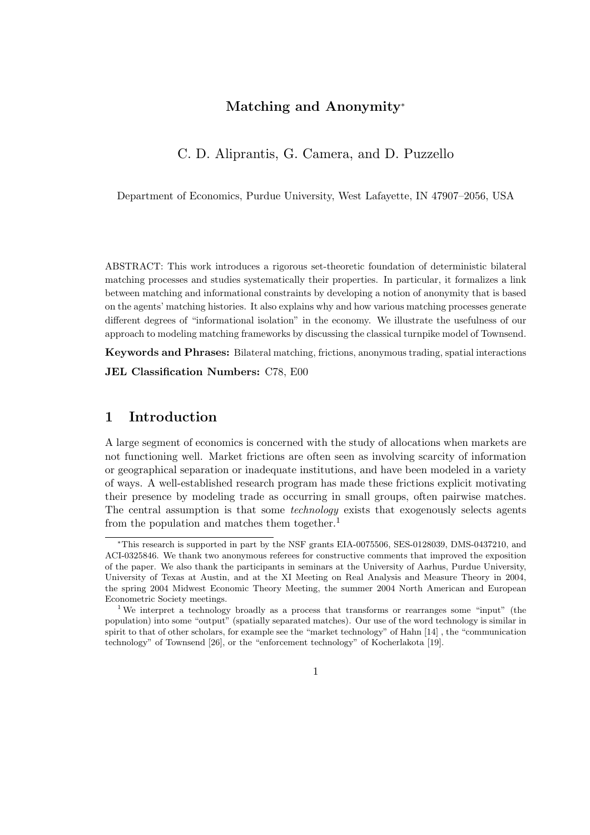### Matching and Anonymity<sup>∗</sup>

### C. D. Aliprantis, G. Camera, and D. Puzzello

Department of Economics, Purdue University, West Lafayette, IN 47907–2056, USA

ABSTRACT: This work introduces a rigorous set-theoretic foundation of deterministic bilateral matching processes and studies systematically their properties. In particular, it formalizes a link between matching and informational constraints by developing a notion of anonymity that is based on the agents' matching histories. It also explains why and how various matching processes generate different degrees of "informational isolation" in the economy. We illustrate the usefulness of our approach to modeling matching frameworks by discussing the classical turnpike model of Townsend.

Keywords and Phrases: Bilateral matching, frictions, anonymous trading, spatial interactions

JEL Classification Numbers: C78, E00

## 1 Introduction

A large segment of economics is concerned with the study of allocations when markets are not functioning well. Market frictions are often seen as involving scarcity of information or geographical separation or inadequate institutions, and have been modeled in a variety of ways. A well-established research program has made these frictions explicit motivating their presence by modeling trade as occurring in small groups, often pairwise matches. The central assumption is that some *technology* exists that exogenously selects agents from the population and matches them together.<sup>1</sup>

<sup>∗</sup>This research is supported in part by the NSF grants EIA-0075506, SES-0128039, DMS-0437210, and ACI-0325846. We thank two anonymous referees for constructive comments that improved the exposition of the paper. We also thank the participants in seminars at the University of Aarhus, Purdue University, University of Texas at Austin, and at the XI Meeting on Real Analysis and Measure Theory in 2004, the spring 2004 Midwest Economic Theory Meeting, the summer 2004 North American and European Econometric Society meetings.

<sup>&</sup>lt;sup>1</sup> We interpret a technology broadly as a process that transforms or rearranges some "input" (the population) into some "output" (spatially separated matches). Our use of the word technology is similar in spirit to that of other scholars, for example see the "market technology" of Hahn [14] , the "communication technology" of Townsend [26], or the "enforcement technology" of Kocherlakota [19].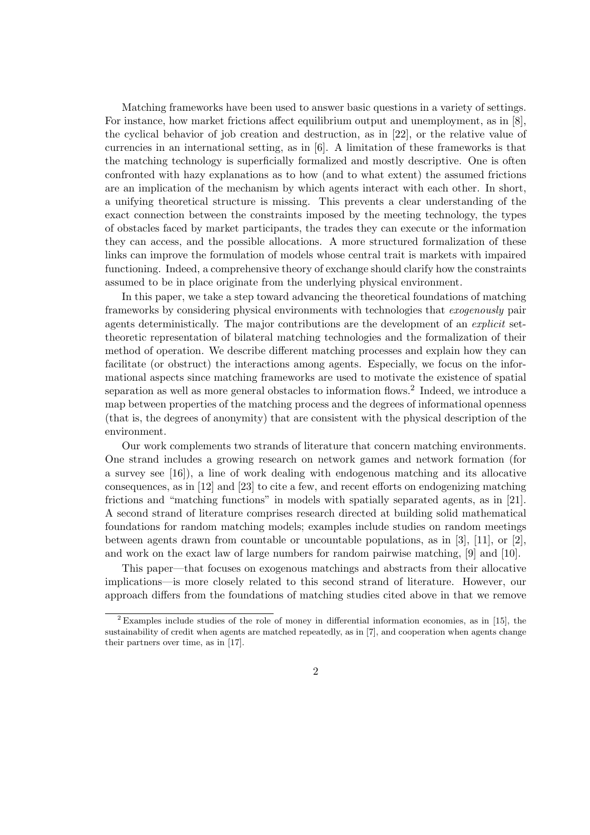Matching frameworks have been used to answer basic questions in a variety of settings. For instance, how market frictions affect equilibrium output and unemployment, as in [8], the cyclical behavior of job creation and destruction, as in [22], or the relative value of currencies in an international setting, as in [6]. A limitation of these frameworks is that the matching technology is superficially formalized and mostly descriptive. One is often confronted with hazy explanations as to how (and to what extent) the assumed frictions are an implication of the mechanism by which agents interact with each other. In short, a unifying theoretical structure is missing. This prevents a clear understanding of the exact connection between the constraints imposed by the meeting technology, the types of obstacles faced by market participants, the trades they can execute or the information they can access, and the possible allocations. A more structured formalization of these links can improve the formulation of models whose central trait is markets with impaired functioning. Indeed, a comprehensive theory of exchange should clarify how the constraints assumed to be in place originate from the underlying physical environment.

In this paper, we take a step toward advancing the theoretical foundations of matching frameworks by considering physical environments with technologies that exogenously pair agents deterministically. The major contributions are the development of an explicit settheoretic representation of bilateral matching technologies and the formalization of their method of operation. We describe different matching processes and explain how they can facilitate (or obstruct) the interactions among agents. Especially, we focus on the informational aspects since matching frameworks are used to motivate the existence of spatial separation as well as more general obstacles to information flows.<sup>2</sup> Indeed, we introduce a map between properties of the matching process and the degrees of informational openness (that is, the degrees of anonymity) that are consistent with the physical description of the environment.

Our work complements two strands of literature that concern matching environments. One strand includes a growing research on network games and network formation (for a survey see [16]), a line of work dealing with endogenous matching and its allocative consequences, as in [12] and [23] to cite a few, and recent efforts on endogenizing matching frictions and "matching functions" in models with spatially separated agents, as in [21]. A second strand of literature comprises research directed at building solid mathematical foundations for random matching models; examples include studies on random meetings between agents drawn from countable or uncountable populations, as in [3], [11], or [2], and work on the exact law of large numbers for random pairwise matching, [9] and [10].

This paper—that focuses on exogenous matchings and abstracts from their allocative implications—is more closely related to this second strand of literature. However, our approach differs from the foundations of matching studies cited above in that we remove

<sup>2</sup> Examples include studies of the role of money in differential information economies, as in [15], the sustainability of credit when agents are matched repeatedly, as in [7], and cooperation when agents change their partners over time, as in [17].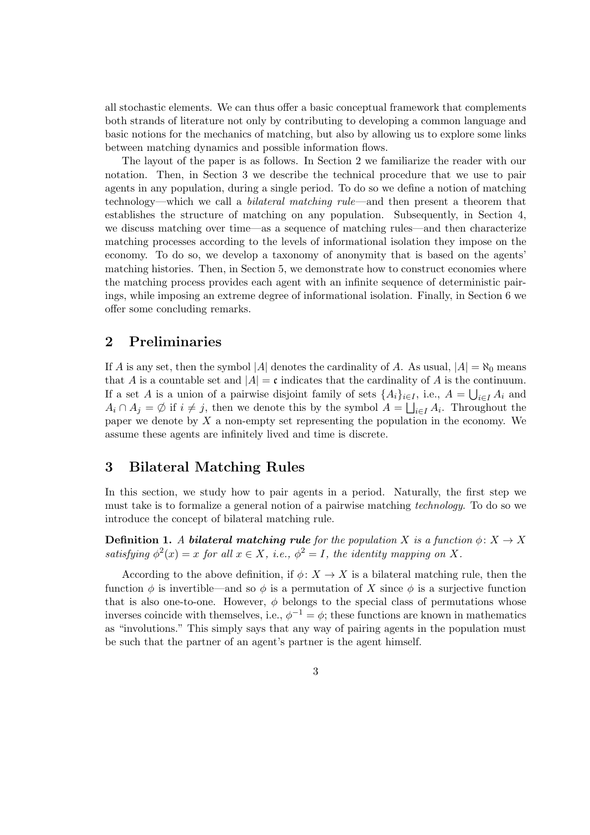all stochastic elements. We can thus offer a basic conceptual framework that complements both strands of literature not only by contributing to developing a common language and basic notions for the mechanics of matching, but also by allowing us to explore some links between matching dynamics and possible information flows.

The layout of the paper is as follows. In Section 2 we familiarize the reader with our notation. Then, in Section 3 we describe the technical procedure that we use to pair agents in any population, during a single period. To do so we define a notion of matching technology—which we call a bilateral matching rule—and then present a theorem that establishes the structure of matching on any population. Subsequently, in Section 4, we discuss matching over time—as a sequence of matching rules—and then characterize matching processes according to the levels of informational isolation they impose on the economy. To do so, we develop a taxonomy of anonymity that is based on the agents' matching histories. Then, in Section 5, we demonstrate how to construct economies where the matching process provides each agent with an infinite sequence of deterministic pairings, while imposing an extreme degree of informational isolation. Finally, in Section 6 we offer some concluding remarks.

# 2 Preliminaries

If A is any set, then the symbol |A| denotes the cardinality of A. As usual,  $|A| = \aleph_0$  means that A is a countable set and  $|A| = c$  indicates that the cardinality of A is the continuum. If a set A is a union of a pairwise disjoint family of sets  $\{A_i\}_{i\in I}$ , i.e.,  $A = \bigcup_{i\in I} A_i$  and  $A_i \cap A_j = \emptyset$  if  $i \neq j$ , then we denote this by the symbol  $A = \bigsqcup_{i \in I} A_i$ . Throughout the paper we denote by  $X$  a non-empty set representing the population in the economy. We assume these agents are infinitely lived and time is discrete.

#### 3 Bilateral Matching Rules

In this section, we study how to pair agents in a period. Naturally, the first step we must take is to formalize a general notion of a pairwise matching technology. To do so we introduce the concept of bilateral matching rule.

**Definition 1.** A **bilateral matching rule** for the population X is a function  $\phi: X \to X$ satisfying  $\phi^2(x) = x$  for all  $x \in X$ , i.e.,  $\phi^2 = I$ , the identity mapping on X.

According to the above definition, if  $\phi: X \to X$  is a bilateral matching rule, then the function  $\phi$  is invertible—and so  $\phi$  is a permutation of X since  $\phi$  is a surjective function that is also one-to-one. However,  $\phi$  belongs to the special class of permutations whose inverses coincide with themselves, i.e.,  $\phi^{-1} = \phi$ ; these functions are known in mathematics as "involutions." This simply says that any way of pairing agents in the population must be such that the partner of an agent's partner is the agent himself.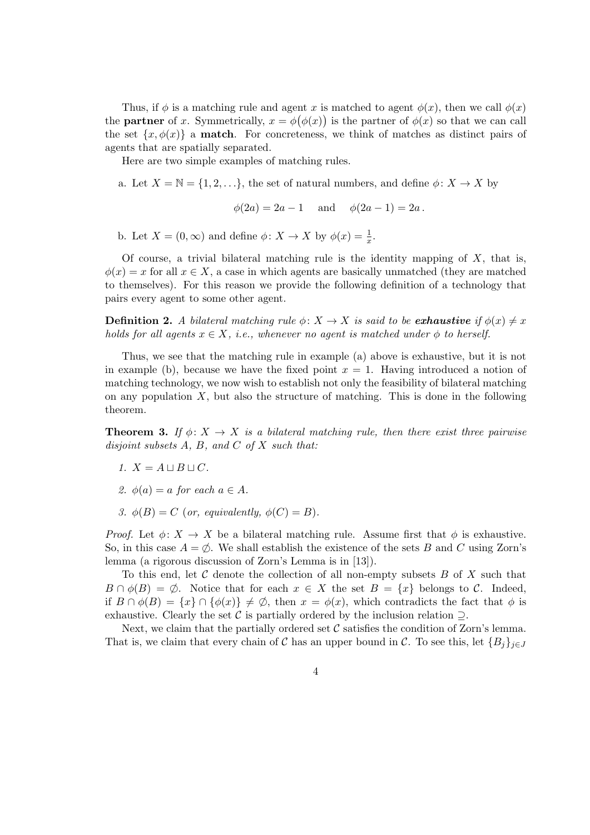Thus, if  $\phi$  is a matching rule and agent x is matched to agent  $\phi(x)$ , then we call  $\phi(x)$ the **partner** of x. Symmetrically,  $x = \phi(\phi(x))$  is the partner of  $\phi(x)$  so that we can call the set  $\{x, \phi(x)\}\$ a **match**. For concreteness, we think of matches as distinct pairs of agents that are spatially separated.

Here are two simple examples of matching rules.

a. Let  $X = \mathbb{N} = \{1, 2, ...\}$ , the set of natural numbers, and define  $\phi \colon X \to X$  by

 $\phi(2a) = 2a - 1$  and  $\phi(2a - 1) = 2a$ .

b. Let  $X = (0, \infty)$  and define  $\phi \colon X \to X$  by  $\phi(x) = \frac{1}{x}$ .

Of course, a trivial bilateral matching rule is the identity mapping of  $X$ , that is,  $\phi(x) = x$  for all  $x \in X$ , a case in which agents are basically unmatched (they are matched to themselves). For this reason we provide the following definition of a technology that pairs every agent to some other agent.

**Definition 2.** A bilateral matching rule  $\phi: X \to X$  is said to be **exhaustive** if  $\phi(x) \neq x$ holds for all agents  $x \in X$ , i.e., whenever no agent is matched under  $\phi$  to herself.

Thus, we see that the matching rule in example (a) above is exhaustive, but it is not in example (b), because we have the fixed point  $x = 1$ . Having introduced a notion of matching technology, we now wish to establish not only the feasibility of bilateral matching on any population  $X$ , but also the structure of matching. This is done in the following theorem.

**Theorem 3.** If  $\phi: X \to X$  is a bilateral matching rule, then there exist three pairwise disjoint subsets  $A, B, and C$  of  $X$  such that:

- 1.  $X = A \sqcup B \sqcup C$ .
- 2.  $\phi(a) = a$  for each  $a \in A$ .
- 3.  $\phi(B) = C$  (or, equivalently,  $\phi(C) = B$ ).

*Proof.* Let  $\phi \colon X \to X$  be a bilateral matching rule. Assume first that  $\phi$  is exhaustive. So, in this case  $A = \emptyset$ . We shall establish the existence of the sets B and C using Zorn's lemma (a rigorous discussion of Zorn's Lemma is in [13]).

To this end, let  $\mathcal C$  denote the collection of all non-empty subsets  $B$  of  $X$  such that  $B \cap \phi(B) = \emptyset$ . Notice that for each  $x \in X$  the set  $B = \{x\}$  belongs to C. Indeed, if  $B \cap \phi(B) = \{x\} \cap \{\phi(x)\}\neq \emptyset$ , then  $x = \phi(x)$ , which contradicts the fact that  $\phi$  is exhaustive. Clearly the set C is partially ordered by the inclusion relation  $\supseteq$ .

Next, we claim that the partially ordered set  $\mathcal C$  satisfies the condition of Zorn's lemma. That is, we claim that every chain of C has an upper bound in C. To see this, let  ${B_j}_{j\in J}$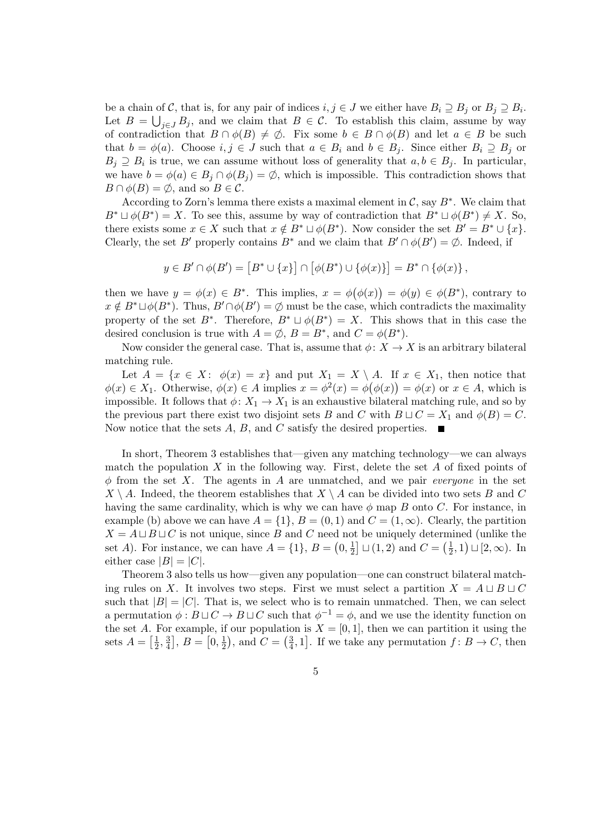be a chain of C, that is, for any pair of indices  $i, j \in J$  we either have  $B_i \supseteq B_j$  or  $B_j \supseteq B_i$ . Let  $B = \bigcup_{j \in J} B_j$ , and we claim that  $B \in \mathcal{C}$ . To establish this claim, assume by way of contradiction that  $B \cap \phi(B) \neq \emptyset$ . Fix some  $b \in B \cap \phi(B)$  and let  $a \in B$  be such that  $b = \phi(a)$ . Choose  $i, j \in J$  such that  $a \in B_i$  and  $b \in B_j$ . Since either  $B_i \supseteq B_j$  or  $B_j \supseteq B_i$  is true, we can assume without loss of generality that  $a, b \in B_j$ . In particular, we have  $b = \phi(a) \in B_j \cap \phi(B_j) = \emptyset$ , which is impossible. This contradiction shows that  $B \cap \phi(B) = \emptyset$ , and so  $B \in \mathcal{C}$ .

According to Zorn's lemma there exists a maximal element in  $\mathcal{C}$ , say  $B^*$ . We claim that  $B^* \sqcup \phi(B^*) = X$ . To see this, assume by way of contradiction that  $B^* \sqcup \phi(B^*) \neq X$ . So, there exists some  $x \in X$  such that  $x \notin B^* \sqcup \phi(B^*)$ . Now consider the set  $B' = B^* \cup \{x\}$ . Clearly, the set B' properly contains  $B^*$  and we claim that  $B' \cap \phi(B') = \emptyset$ . Indeed, if

$$
y\in B'\cap \phi(B')=\left[B^*\cup\{x\}\right]\cap \left[\phi(B^*)\cup\{\phi(x)\}\right]=B^*\cap\{\phi(x)\}\,,
$$

then we have  $y = \phi(x) \in B^*$ . This implies,  $x = \phi(\phi(x)) = \phi(y) \in \phi(B^*)$ , contrary to  $x \notin B^* \sqcup \phi(B^*)$ . Thus,  $B' \cap \phi(B') = \emptyset$  must be the case, which contradicts the maximality property of the set  $B^*$ . Therefore,  $B^* \sqcup \phi(B^*) = X$ . This shows that in this case the desired conclusion is true with  $A = \emptyset$ ,  $B = B^*$ , and  $C = \phi(B^*)$ .

Now consider the general case. That is, assume that  $\phi: X \to X$  is an arbitrary bilateral matching rule.

Let  $A = \{x \in X: \phi(x) = x\}$  and put  $X_1 = X \setminus A$ . If  $x \in X_1$ , then notice that  $\phi(x) \in X_1$ . Otherwise,  $\phi(x) \in A$  implies  $x = \phi^2(x) = \phi(\phi(x)) = \phi(x)$  or  $x \in A$ , which is impossible. It follows that  $\phi: X_1 \to X_1$  is an exhaustive bilateral matching rule, and so by the previous part there exist two disjoint sets B and C with  $B \sqcup C = X_1$  and  $\phi(B) = C$ . Now notice that the sets A, B, and C satisfy the desired properties.  $\blacksquare$ 

In short, Theorem 3 establishes that—given any matching technology—we can always match the population  $X$  in the following way. First, delete the set  $A$  of fixed points of  $\phi$  from the set X. The agents in A are unmatched, and we pair *everyone* in the set  $X \setminus A$ . Indeed, the theorem establishes that  $X \setminus A$  can be divided into two sets B and C having the same cardinality, which is why we can have  $\phi$  map B onto C. For instance, in example (b) above we can have  $A = \{1\}$ ,  $B = (0, 1)$  and  $C = (1, \infty)$ . Clearly, the partition  $X = A \sqcup B \sqcup C$  is not unique, since B and C need not be uniquely determined (unlike the set A). For instance, we can have  $A = \{1\}, B = \left(0, \frac{1}{2}\right)$  $\frac{1}{2}$   $\sqcup$  (1, 2) and  $C = \left(\frac{1}{2}\right)$  $(\frac{1}{2}, 1) \sqcup [2, \infty)$ . In either case  $|B| = |C|$ .

Theorem 3 also tells us how—given any population—one can construct bilateral matching rules on X. It involves two steps. First we must select a partition  $X = A \sqcup B \sqcup C$ such that  $|B| = |C|$ . That is, we select who is to remain unmatched. Then, we can select a permutation  $\phi: B \sqcup C \to B \sqcup C$  such that  $\phi^{-1} = \phi$ , and we use the identity function on the set A. For example, if our population is  $X = [0, 1]$ , then we can partition it using the sets  $A = \left[\frac{1}{2}\right]$  $\frac{1}{2}, \frac{3}{4}$  $\frac{3}{4}$ ,  $B = \left[0, \frac{1}{2}\right]$  $(\frac{1}{2})$ , and  $C = (\frac{3}{4})$  $\frac{3}{4}$ , 1]. If we take any permutation  $f: B \to C$ , then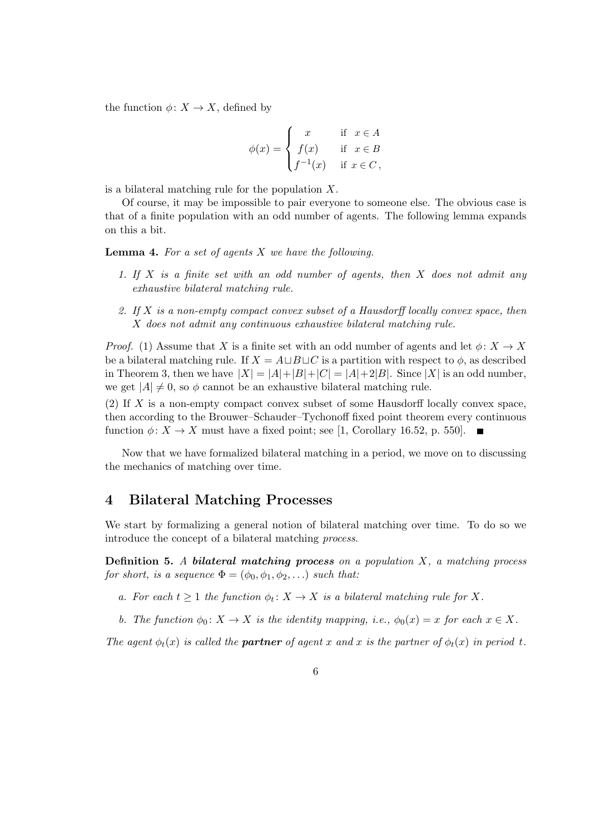the function  $\phi: X \to X$ , defined by

$$
\phi(x) = \begin{cases}\nx & \text{if } x \in A \\
f(x) & \text{if } x \in B \\
f^{-1}(x) & \text{if } x \in C,\n\end{cases}
$$

is a bilateral matching rule for the population  $X$ .

Of course, it may be impossible to pair everyone to someone else. The obvious case is that of a finite population with an odd number of agents. The following lemma expands on this a bit.

**Lemma 4.** For a set of agents  $X$  we have the following.

- 1. If X is a finite set with an odd number of agents, then X does not admit any exhaustive bilateral matching rule.
- 2. If X is a non-empty compact convex subset of a Hausdorff locally convex space, then X does not admit any continuous exhaustive bilateral matching rule.

*Proof.* (1) Assume that X is a finite set with an odd number of agents and let  $\phi: X \to X$ be a bilateral matching rule. If  $X = A \sqcup B \sqcup C$  is a partition with respect to  $\phi$ , as described in Theorem 3, then we have  $|X| = |A|+|B|+|C| = |A|+2|B|$ . Since  $|X|$  is an odd number, we get  $|A| \neq 0$ , so  $\phi$  cannot be an exhaustive bilateral matching rule.

(2) If X is a non-empty compact convex subset of some Hausdorff locally convex space, then according to the Brouwer–Schauder–Tychonoff fixed point theorem every continuous function  $\phi: X \to X$  must have a fixed point; see [1, Corollary 16.52, p. 550].

Now that we have formalized bilateral matching in a period, we move on to discussing the mechanics of matching over time.

#### 4 Bilateral Matching Processes

We start by formalizing a general notion of bilateral matching over time. To do so we introduce the concept of a bilateral matching process.

**Definition 5.** A bilateral matching process on a population  $X$ , a matching process for short, is a sequence  $\Phi = (\phi_0, \phi_1, \phi_2, \ldots)$  such that:

- a. For each  $t \geq 1$  the function  $\phi_t \colon X \to X$  is a bilateral matching rule for X.
- b. The function  $\phi_0: X \to X$  is the identity mapping, i.e.,  $\phi_0(x) = x$  for each  $x \in X$ .

The agent  $\phi_t(x)$  is called the **partner** of agent x and x is the partner of  $\phi_t(x)$  in period t.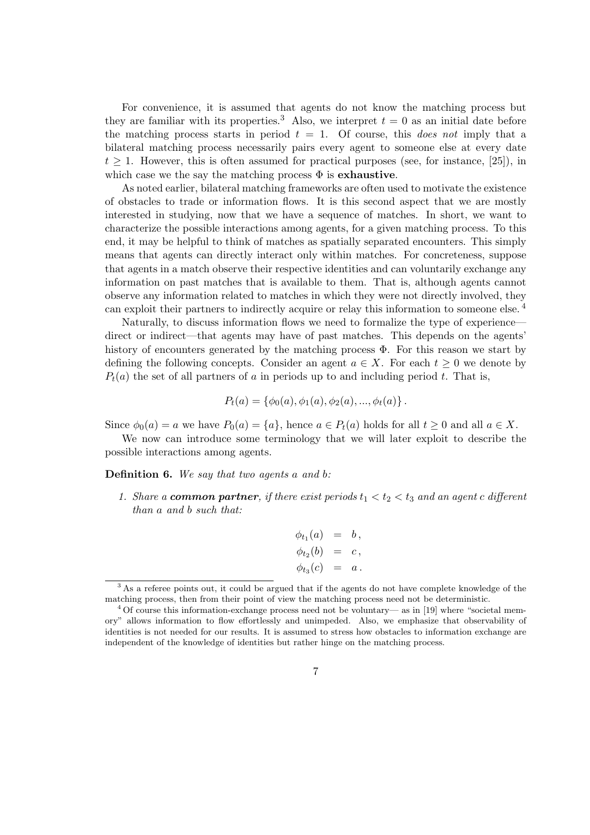For convenience, it is assumed that agents do not know the matching process but they are familiar with its properties.<sup>3</sup> Also, we interpret  $t = 0$  as an initial date before the matching process starts in period  $t = 1$ . Of course, this *does not* imply that a bilateral matching process necessarily pairs every agent to someone else at every date  $t > 1$ . However, this is often assumed for practical purposes (see, for instance, [25]), in which case we the say the matching process  $\Phi$  is **exhaustive**.

As noted earlier, bilateral matching frameworks are often used to motivate the existence of obstacles to trade or information flows. It is this second aspect that we are mostly interested in studying, now that we have a sequence of matches. In short, we want to characterize the possible interactions among agents, for a given matching process. To this end, it may be helpful to think of matches as spatially separated encounters. This simply means that agents can directly interact only within matches. For concreteness, suppose that agents in a match observe their respective identities and can voluntarily exchange any information on past matches that is available to them. That is, although agents cannot observe any information related to matches in which they were not directly involved, they can exploit their partners to indirectly acquire or relay this information to someone else. <sup>4</sup>

Naturally, to discuss information flows we need to formalize the type of experience direct or indirect—that agents may have of past matches. This depends on the agents' history of encounters generated by the matching process Φ. For this reason we start by defining the following concepts. Consider an agent  $a \in X$ . For each  $t \geq 0$  we denote by  $P_t(a)$  the set of all partners of a in periods up to and including period t. That is,

$$
P_t(a) = \{\phi_0(a), \phi_1(a), \phi_2(a), ..., \phi_t(a)\}.
$$

Since  $\phi_0(a) = a$  we have  $P_0(a) = \{a\}$ , hence  $a \in P_t(a)$  holds for all  $t \geq 0$  and all  $a \in X$ .

We now can introduce some terminology that we will later exploit to describe the possible interactions among agents.

Definition 6. We say that two agents a and b:

1. Share a **common partner**, if there exist periods  $t_1 < t_2 < t_3$  and an agent c different than a and b such that:

$$
\begin{array}{rcl}\n\phi_{t_1}(a) & = & b, \\
\phi_{t_2}(b) & = & c, \\
\phi_{t_3}(c) & = & a.\n\end{array}
$$

<sup>&</sup>lt;sup>3</sup> As a referee points out, it could be argued that if the agents do not have complete knowledge of the matching process, then from their point of view the matching process need not be deterministic.

<sup>4</sup> Of course this information-exchange process need not be voluntary— as in [19] where "societal memory" allows information to flow effortlessly and unimpeded. Also, we emphasize that observability of identities is not needed for our results. It is assumed to stress how obstacles to information exchange are independent of the knowledge of identities but rather hinge on the matching process.

<sup>7</sup>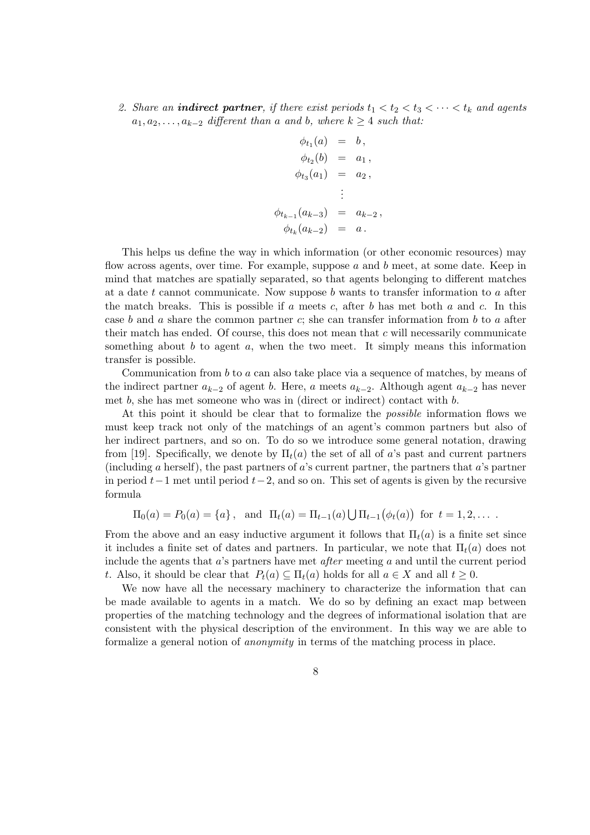2. Share an **indirect partner**, if there exist periods  $t_1 < t_2 < t_3 < \cdots < t_k$  and agents  $a_1, a_2, \ldots, a_{k-2}$  different than a and b, where  $k \geq 4$  such that:

$$
\begin{aligned}\n\phi_{t_1}(a) &= b, \\
\phi_{t_2}(b) &= a_1, \\
\phi_{t_3}(a_1) &= a_2, \\
&\vdots \\
\phi_{t_{k-1}}(a_{k-3}) &= a_{k-2}, \\
\phi_{t_k}(a_{k-2}) &= a.\n\end{aligned}
$$

This helps us define the way in which information (or other economic resources) may flow across agents, over time. For example, suppose a and b meet, at some date. Keep in mind that matches are spatially separated, so that agents belonging to different matches at a date t cannot communicate. Now suppose  $b$  wants to transfer information to  $a$  after the match breaks. This is possible if a meets c, after b has met both a and c. In this case b and a share the common partner c; she can transfer information from b to a after their match has ended. Of course, this does not mean that  $c$  will necessarily communicate something about  $b$  to agent  $a$ , when the two meet. It simply means this information transfer is possible.

Communication from  $b$  to  $a$  can also take place via a sequence of matches, by means of the indirect partner  $a_{k-2}$  of agent b. Here, a meets  $a_{k-2}$ . Although agent  $a_{k-2}$  has never met b, she has met someone who was in (direct or indirect) contact with b.

At this point it should be clear that to formalize the possible information flows we must keep track not only of the matchings of an agent's common partners but also of her indirect partners, and so on. To do so we introduce some general notation, drawing from [19]. Specifically, we denote by  $\Pi_t(a)$  the set of all of a's past and current partners (including a herself), the past partners of a's current partner, the partners that a's partner in period  $t-1$  met until period  $t-2$ , and so on. This set of agents is given by the recursive formula

$$
\Pi_0(a) = P_0(a) = \{a\}, \text{ and } \Pi_t(a) = \Pi_{t-1}(a) \bigcup \Pi_{t-1}(\phi_t(a)) \text{ for } t = 1, 2, ...
$$

From the above and an easy inductive argument it follows that  $\Pi_t(a)$  is a finite set since it includes a finite set of dates and partners. In particular, we note that  $\Pi_t(a)$  does not include the agents that a's partners have met after meeting a and until the current period t. Also, it should be clear that  $P_t(a) \subseteq \Pi_t(a)$  holds for all  $a \in X$  and all  $t \geq 0$ .

We now have all the necessary machinery to characterize the information that can be made available to agents in a match. We do so by defining an exact map between properties of the matching technology and the degrees of informational isolation that are consistent with the physical description of the environment. In this way we are able to formalize a general notion of anonymity in terms of the matching process in place.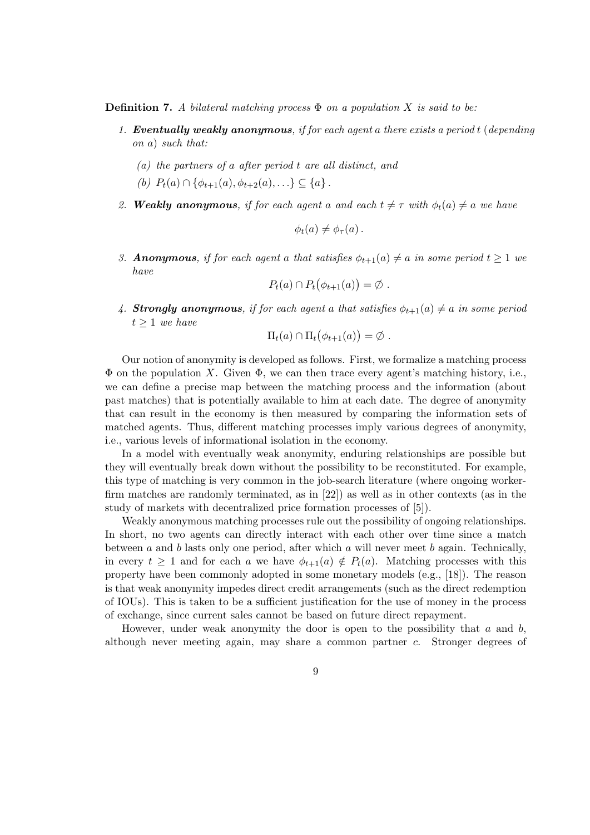**Definition 7.** A bilateral matching process  $\Phi$  on a population X is said to be:

- 1. Eventually weakly anonymous, if for each agent a there exists a period t (depending on a) such that:
	- (a) the partners of a after period t are all distinct, and
	- (b)  $P_t(a) \cap {\phi_{t+1}(a), \phi_{t+2}(a), \ldots} \subset {a}.$
- 2. Weakly anonymous, if for each agent a and each  $t \neq \tau$  with  $\phi_t(a) \neq a$  we have

$$
\phi_t(a)\neq \phi_\tau(a)\,.
$$

3. **Anonymous**, if for each agent a that satisfies  $\phi_{t+1}(a) \neq a$  in some period  $t > 1$  we have

$$
P_t(a) \cap P_t(\phi_{t+1}(a)) = \emptyset.
$$

4. Strongly anonymous, if for each agent a that satisfies  $\phi_{t+1}(a) \neq a$  in some period  $t > 1$  we have

$$
\Pi_t(a) \cap \Pi_t(\phi_{t+1}(a)) = \emptyset.
$$

Our notion of anonymity is developed as follows. First, we formalize a matching process  $\Phi$  on the population X. Given  $\Phi$ , we can then trace every agent's matching history, i.e., we can define a precise map between the matching process and the information (about past matches) that is potentially available to him at each date. The degree of anonymity that can result in the economy is then measured by comparing the information sets of matched agents. Thus, different matching processes imply various degrees of anonymity, i.e., various levels of informational isolation in the economy.

In a model with eventually weak anonymity, enduring relationships are possible but they will eventually break down without the possibility to be reconstituted. For example, this type of matching is very common in the job-search literature (where ongoing workerfirm matches are randomly terminated, as in [22]) as well as in other contexts (as in the study of markets with decentralized price formation processes of [5]).

Weakly anonymous matching processes rule out the possibility of ongoing relationships. In short, no two agents can directly interact with each other over time since a match between a and b lasts only one period, after which a will never meet b again. Technically, in every  $t \geq 1$  and for each a we have  $\phi_{t+1}(a) \notin P_t(a)$ . Matching processes with this property have been commonly adopted in some monetary models (e.g., [18]). The reason is that weak anonymity impedes direct credit arrangements (such as the direct redemption of IOUs). This is taken to be a sufficient justification for the use of money in the process of exchange, since current sales cannot be based on future direct repayment.

However, under weak anonymity the door is open to the possibility that  $a$  and  $b$ , although never meeting again, may share a common partner c. Stronger degrees of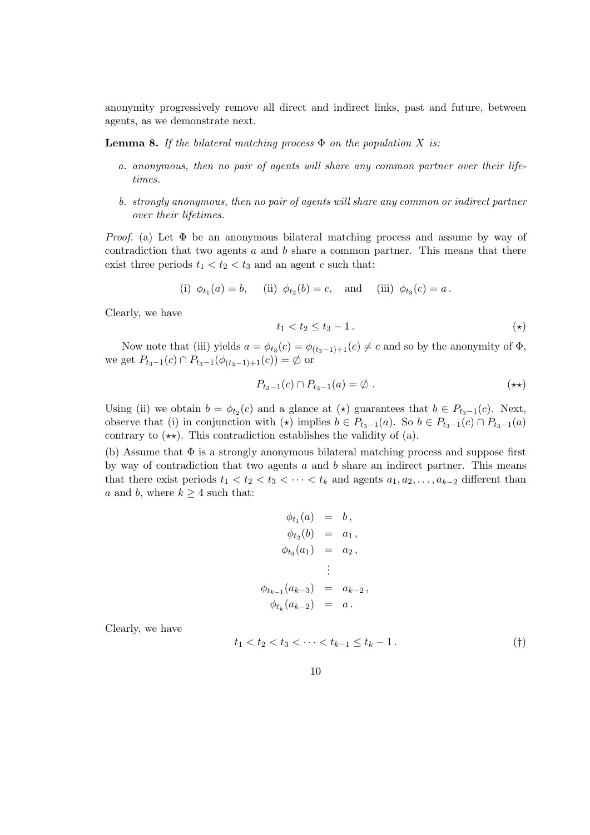anonymity progressively remove all direct and indirect links, past and future, between agents, as we demonstrate next.

**Lemma 8.** If the bilateral matching process  $\Phi$  on the population X is:

- a. anonymous, then no pair of agents will share any common partner over their lifetimes.
- b. strongly anonymous, then no pair of agents will share any common or indirect partner over their lifetimes.

*Proof.* (a) Let  $\Phi$  be an anonymous bilateral matching process and assume by way of contradiction that two agents  $a$  and  $b$  share a common partner. This means that there exist three periods  $t_1 < t_2 < t_3$  and an agent c such that:

(i) 
$$
\phi_{t_1}(a) = b
$$
, (ii)  $\phi_{t_2}(b) = c$ , and (iii)  $\phi_{t_3}(c) = a$ .

Clearly, we have

$$
t_1 < t_2 \le t_3 - 1. \tag{\star}
$$

Now note that (iii) yields  $a = \phi_{t_3}(c) = \phi_{(t_3-1)+1}(c) \neq c$  and so by the anonymity of  $\Phi$ , we get  $P_{t_3-1}(c) \cap P_{t_3-1}(\phi_{(t_3-1)+1}(c)) = \emptyset$  or

$$
P_{t_3-1}(c) \cap P_{t_3-1}(a) = \emptyset . \qquad (\star \star)
$$

Using (ii) we obtain  $b = \phi_{t_2}(c)$  and a glance at  $(\star)$  guarantees that  $b \in P_{t_3-1}(c)$ . Next, observe that (i) in conjunction with  $(\star)$  implies  $b \in P_{t_3-1}(a)$ . So  $b \in P_{t_3-1}(c) \cap P_{t_3-1}(a)$ contrary to  $(\star \star)$ . This contradiction establishes the validity of (a).

(b) Assume that  $\Phi$  is a strongly anonymous bilateral matching process and suppose first by way of contradiction that two agents  $a$  and  $b$  share an indirect partner. This means that there exist periods  $t_1 < t_2 < t_3 < \cdots < t_k$  and agents  $a_1, a_2, \ldots, a_{k-2}$  different than a and b, where  $k \geq 4$  such that:

$$
\begin{aligned}\n\phi_{t_1}(a) &= b, \\
\phi_{t_2}(b) &= a_1, \\
\phi_{t_3}(a_1) &= a_2, \\
&\vdots \\
\phi_{t_{k-1}}(a_{k-3}) &= a_{k-2}, \\
\phi_{t_k}(a_{k-2}) &= a.\n\end{aligned}
$$

Clearly, we have

$$
t_1 < t_2 < t_3 < \dots < t_{k-1} \le t_k - 1. \tag{\dagger}
$$

10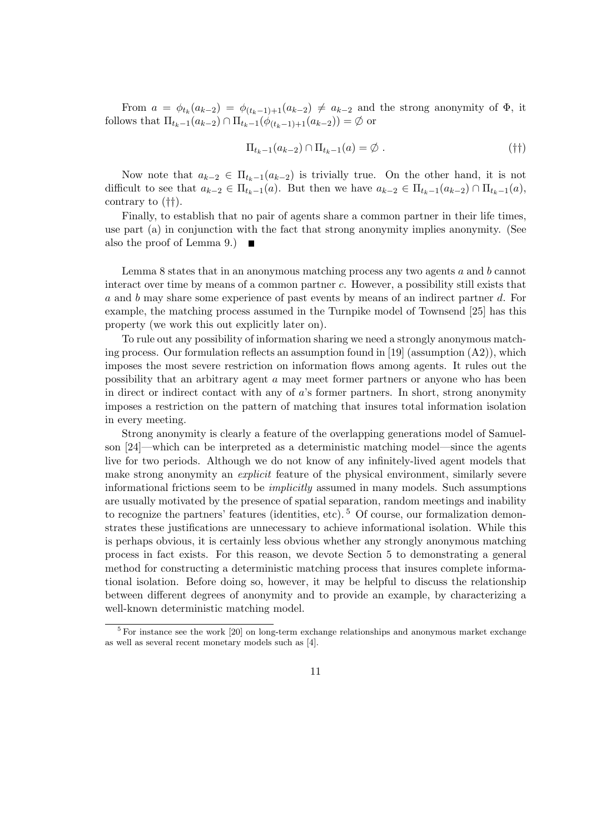From  $a = \phi_{t_k}(a_{k-2}) = \phi_{(t_k-1)+1}(a_{k-2}) \neq a_{k-2}$  and the strong anonymity of  $\Phi$ , it follows that  $\Pi_{t_k-1}(a_{k-2}) \cap \Pi_{t_k-1}(\phi_{(t_k-1)+1}(a_{k-2})) = \emptyset$  or

$$
\Pi_{t_k-1}(a_{k-2}) \cap \Pi_{t_k-1}(a) = \emptyset . \tag{†\dagger}
$$

Now note that  $a_{k-2} \in \Pi_{t_{k-1}}(a_{k-2})$  is trivially true. On the other hand, it is not difficult to see that  $a_{k-2} \in \Pi_{t_k-1}(a)$ . But then we have  $a_{k-2} \in \Pi_{t_k-1}(a_{k-2}) \cap \Pi_{t_k-1}(a)$ , contrary to (††).

Finally, to establish that no pair of agents share a common partner in their life times, use part (a) in conjunction with the fact that strong anonymity implies anonymity. (See also the proof of Lemma 9.)  $\blacksquare$ 

Lemma 8 states that in an anonymous matching process any two agents a and b cannot interact over time by means of a common partner c. However, a possibility still exists that a and b may share some experience of past events by means of an indirect partner d. For example, the matching process assumed in the Turnpike model of Townsend [25] has this property (we work this out explicitly later on).

To rule out any possibility of information sharing we need a strongly anonymous matching process. Our formulation reflects an assumption found in [19] (assumption  $(A2)$ ), which imposes the most severe restriction on information flows among agents. It rules out the possibility that an arbitrary agent a may meet former partners or anyone who has been in direct or indirect contact with any of a's former partners. In short, strong anonymity imposes a restriction on the pattern of matching that insures total information isolation in every meeting.

Strong anonymity is clearly a feature of the overlapping generations model of Samuelson [24]—which can be interpreted as a deterministic matching model—since the agents live for two periods. Although we do not know of any infinitely-lived agent models that make strong anonymity an *explicit* feature of the physical environment, similarly severe informational frictions seem to be implicitly assumed in many models. Such assumptions are usually motivated by the presence of spatial separation, random meetings and inability to recognize the partners' features (identities, etc).  $5$  Of course, our formalization demonstrates these justifications are unnecessary to achieve informational isolation. While this is perhaps obvious, it is certainly less obvious whether any strongly anonymous matching process in fact exists. For this reason, we devote Section 5 to demonstrating a general method for constructing a deterministic matching process that insures complete informational isolation. Before doing so, however, it may be helpful to discuss the relationship between different degrees of anonymity and to provide an example, by characterizing a well-known deterministic matching model.

<sup>5</sup> For instance see the work [20] on long-term exchange relationships and anonymous market exchange as well as several recent monetary models such as [4].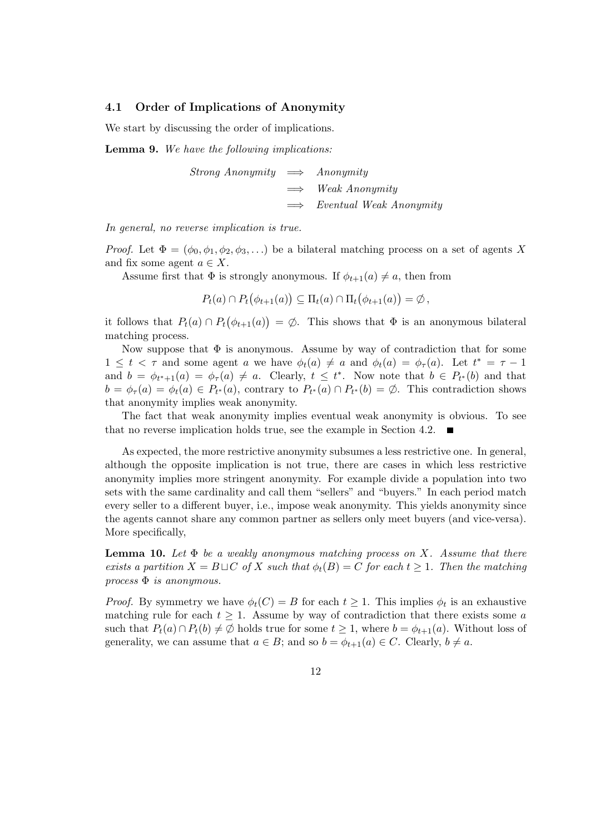#### 4.1 Order of Implications of Anonymity

We start by discussing the order of implications.

Lemma 9. We have the following implications:

Strong Anonymity  $\implies$  Anonymity Weak Anonymity  $\implies$  Eventual Weak Anonymity

In general, no reverse implication is true.

*Proof.* Let  $\Phi = (\phi_0, \phi_1, \phi_2, \phi_3, ...)$  be a bilateral matching process on a set of agents X and fix some agent  $a \in X$ .

Assume first that  $\Phi$  is strongly anonymous. If  $\phi_{t+1}(a) \neq a$ , then from

$$
P_t(a) \cap P_t(\phi_{t+1}(a)) \subseteq \Pi_t(a) \cap \Pi_t(\phi_{t+1}(a)) = \emptyset,
$$

it follows that  $P_t(a) \cap P_t(\phi_{t+1}(a)) = \emptyset$ . This shows that  $\Phi$  is an anonymous bilateral matching process.

Now suppose that  $\Phi$  is anonymous. Assume by way of contradiction that for some  $1 \leq t < \tau$  and some agent a we have  $\phi_t(a) \neq a$  and  $\phi_t(a) = \phi_{\tau}(a)$ . Let  $t^* = \tau - 1$ and  $b = \phi_{t^*+1}(a) = \phi_\tau(a) \neq a$ . Clearly,  $t \leq t^*$ . Now note that  $b \in P_{t^*}(b)$  and that  $b = \phi_{\tau}(a) = \phi_t(a) \in P_{t^*}(a)$ , contrary to  $P_{t^*}(a) \cap P_{t^*}(b) = \emptyset$ . This contradiction shows that anonymity implies weak anonymity.

The fact that weak anonymity implies eventual weak anonymity is obvious. To see that no reverse implication holds true, see the example in Section 4.2.  $\blacksquare$ 

As expected, the more restrictive anonymity subsumes a less restrictive one. In general, although the opposite implication is not true, there are cases in which less restrictive anonymity implies more stringent anonymity. For example divide a population into two sets with the same cardinality and call them "sellers" and "buyers." In each period match every seller to a different buyer, i.e., impose weak anonymity. This yields anonymity since the agents cannot share any common partner as sellers only meet buyers (and vice-versa). More specifically,

**Lemma 10.** Let  $\Phi$  be a weakly anonymous matching process on X. Assume that there exists a partition  $X = B \sqcup C$  of X such that  $\phi_t(B) = C$  for each  $t \geq 1$ . Then the matching process  $\Phi$  is anonymous.

*Proof.* By symmetry we have  $\phi_t(C) = B$  for each  $t \geq 1$ . This implies  $\phi_t$  is an exhaustive matching rule for each  $t \geq 1$ . Assume by way of contradiction that there exists some a such that  $P_t(a) \cap P_t(b) \neq \emptyset$  holds true for some  $t \geq 1$ , where  $b = \phi_{t+1}(a)$ . Without loss of generality, we can assume that  $a \in B$ ; and so  $b = \phi_{t+1}(a) \in C$ . Clearly,  $b \neq a$ .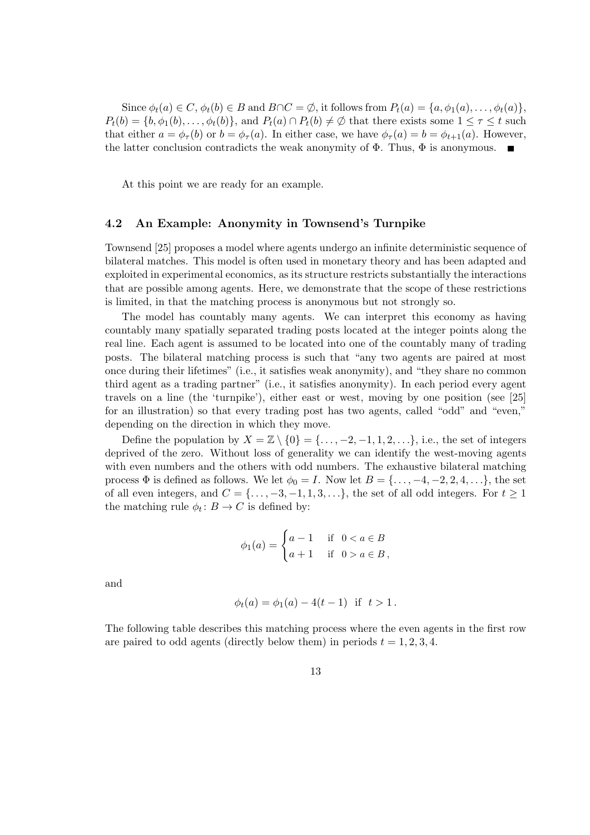Since  $\phi_t(a) \in C$ ,  $\phi_t(b) \in B$  and  $B \cap C = \emptyset$ , it follows from  $P_t(a) = \{a, \phi_1(a), \dots, \phi_t(a)\}$ ,  $P_t(b) = \{b, \phi_1(b), \ldots, \phi_t(b)\}\$ , and  $P_t(a) \cap P_t(b) \neq \emptyset$  that there exists some  $1 \leq \tau \leq t$  such that either  $a = \phi_{\tau}(b)$  or  $b = \phi_{\tau}(a)$ . In either case, we have  $\phi_{\tau}(a) = b = \phi_{t+1}(a)$ . However, the latter conclusion contradicts the weak anonymity of  $\Phi$ . Thus,  $\Phi$  is anonymous.

At this point we are ready for an example.

#### 4.2 An Example: Anonymity in Townsend's Turnpike

Townsend [25] proposes a model where agents undergo an infinite deterministic sequence of bilateral matches. This model is often used in monetary theory and has been adapted and exploited in experimental economics, as its structure restricts substantially the interactions that are possible among agents. Here, we demonstrate that the scope of these restrictions is limited, in that the matching process is anonymous but not strongly so.

The model has countably many agents. We can interpret this economy as having countably many spatially separated trading posts located at the integer points along the real line. Each agent is assumed to be located into one of the countably many of trading posts. The bilateral matching process is such that "any two agents are paired at most once during their lifetimes" (i.e., it satisfies weak anonymity), and "they share no common third agent as a trading partner" (i.e., it satisfies anonymity). In each period every agent travels on a line (the 'turnpike'), either east or west, moving by one position (see [25] for an illustration) so that every trading post has two agents, called "odd" and "even," depending on the direction in which they move.

Define the population by  $X = \mathbb{Z} \setminus \{0\} = \{\ldots, -2, -1, 1, 2, \ldots\}$ , i.e., the set of integers deprived of the zero. Without loss of generality we can identify the west-moving agents with even numbers and the others with odd numbers. The exhaustive bilateral matching process  $\Phi$  is defined as follows. We let  $\phi_0 = I$ . Now let  $B = \{\ldots, -4, -2, 2, 4, \ldots\}$ , the set of all even integers, and  $C = \{ \ldots, -3, -1, 1, 3, \ldots \}$ , the set of all odd integers. For  $t \ge 1$ the matching rule  $\phi_t: B \to C$  is defined by:

$$
\phi_1(a) = \begin{cases} a - 1 & \text{if } 0 < a \in B \\ a + 1 & \text{if } 0 > a \in B, \end{cases}
$$

and

$$
\phi_t(a) = \phi_1(a) - 4(t - 1) \text{ if } t > 1.
$$

The following table describes this matching process where the even agents in the first row are paired to odd agents (directly below them) in periods  $t = 1, 2, 3, 4$ .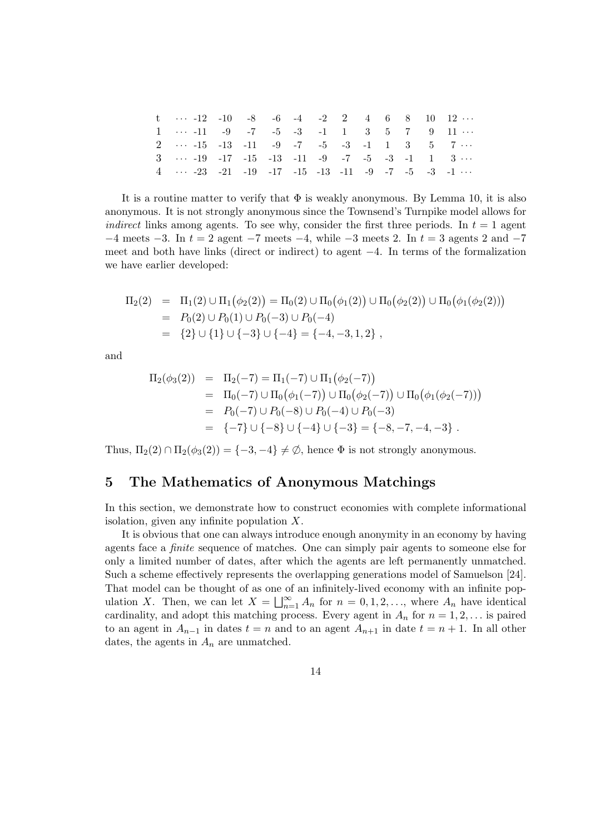| t $\cdots$ -12 -10 -8 -6 -4 -2 2 4 6 8 10 12 $\cdots$                                |  |  |  |  |  |  |
|--------------------------------------------------------------------------------------|--|--|--|--|--|--|
| $1 \cdots -11$ $-9$ $-7$ $-5$ $-3$ $-1$ $1$ $3$ $5$ $7$ $9$ $11 \cdots$              |  |  |  |  |  |  |
| 2 $-15$ $-13$ $-11$ $-9$ $-7$ $-5$ $-3$ $-1$ 1 3 5 7                                 |  |  |  |  |  |  |
| $3 \cdots 19$ $-17$ $-15$ $-13$ $-11$ $-9$ $-7$ $-5$ $-3$ $-1$ $1$ $3 \cdots$        |  |  |  |  |  |  |
| $4 \cdots -23$ $-21$ $-19$ $-17$ $-15$ $-13$ $-11$ $-9$ $-7$ $-5$ $-3$ $-1$ $\cdots$ |  |  |  |  |  |  |

It is a routine matter to verify that  $\Phi$  is weakly anonymous. By Lemma 10, it is also anonymous. It is not strongly anonymous since the Townsend's Turnpike model allows for *indirect* links among agents. To see why, consider the first three periods. In  $t = 1$  agent  $-4$  meets  $-3$ . In  $t = 2$  agent  $-7$  meets  $-4$ , while  $-3$  meets 2. In  $t = 3$  agents 2 and  $-7$ meet and both have links (direct or indirect) to agent −4. In terms of the formalization we have earlier developed:

$$
\Pi_2(2) = \Pi_1(2) \cup \Pi_1(\phi_2(2)) = \Pi_0(2) \cup \Pi_0(\phi_1(2)) \cup \Pi_0(\phi_2(2)) \cup \Pi_0(\phi_1(\phi_2(2)))
$$
  
=  $P_0(2) \cup P_0(1) \cup P_0(-3) \cup P_0(-4)$   
=  $\{2\} \cup \{1\} \cup \{-3\} \cup \{-4\} = \{-4, -3, 1, 2\}$ ,

and

$$
\Pi_2(\phi_3(2)) = \Pi_2(-7) = \Pi_1(-7) \cup \Pi_1(\phi_2(-7))
$$
  
\n
$$
= \Pi_0(-7) \cup \Pi_0(\phi_1(-7)) \cup \Pi_0(\phi_2(-7)) \cup \Pi_0(\phi_1(\phi_2(-7)))
$$
  
\n
$$
= P_0(-7) \cup P_0(-8) \cup P_0(-4) \cup P_0(-3)
$$
  
\n
$$
= \{-7\} \cup \{-8\} \cup \{-4\} \cup \{-3\} = \{-8, -7, -4, -3\}.
$$

Thus,  $\Pi_2(2) \cap \Pi_2(\phi_3(2)) = \{-3, -4\} \neq \emptyset$ , hence  $\Phi$  is not strongly anonymous.

### 5 The Mathematics of Anonymous Matchings

In this section, we demonstrate how to construct economies with complete informational isolation, given any infinite population X.

It is obvious that one can always introduce enough anonymity in an economy by having agents face a finite sequence of matches. One can simply pair agents to someone else for only a limited number of dates, after which the agents are left permanently unmatched. Such a scheme effectively represents the overlapping generations model of Samuelson [24]. That model can be thought of as one of an infinitely-lived economy with an infinite population X. Then, we can let  $X = \bigsqcup_{n=1}^{\infty} A_n$  for  $n = 0, 1, 2, \ldots$ , where  $A_n$  have identical cardinality, and adopt this matching process. Every agent in  $A_n$  for  $n = 1, 2, \ldots$  is paired to an agent in  $A_{n-1}$  in dates  $t = n$  and to an agent  $A_{n+1}$  in date  $t = n + 1$ . In all other dates, the agents in  $A_n$  are unmatched.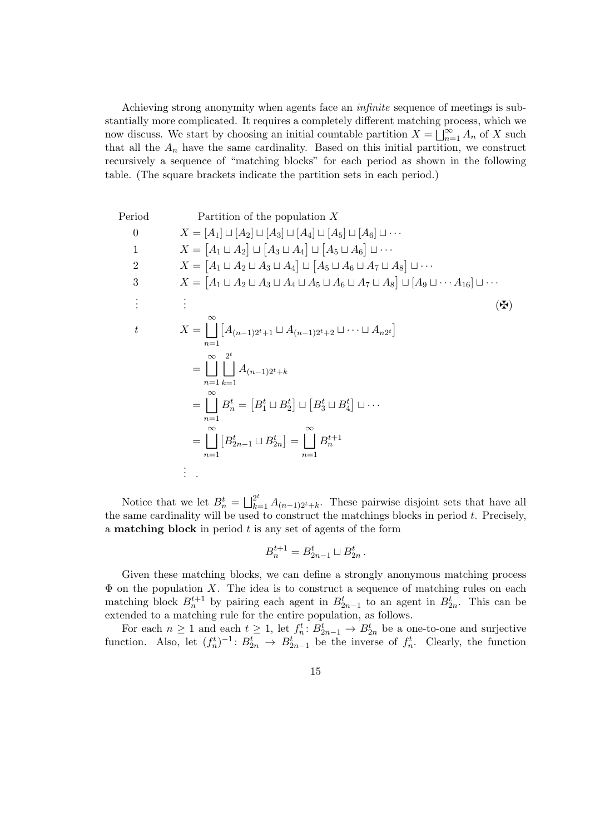Achieving strong anonymity when agents face an infinite sequence of meetings is substantially more complicated. It requires a completely different matching process, which we now discuss. We start by choosing an initial countable partition  $X = \overline{\bigcup_{n=1}^{\infty} A_n}$  of X such that all the  $A_n$  have the same cardinality. Based on this initial partition, we construct recursively a sequence of "matching blocks" for each period as shown in the following table. (The square brackets indicate the partition sets in each period.)

Period Partition of the population X  
\n0 
$$
X = [A_1] \sqcup [A_2] \sqcup [A_3] \sqcup [A_4] \sqcup [A_5] \sqcup [A_6] \sqcup \cdots
$$
  
\n1  $X = [A_1 \sqcup A_2] \sqcup [A_3 \sqcup A_4] \sqcup [A_5 \sqcup A_6] \sqcup \cdots$   
\n2  $X = [A_1 \sqcup A_2 \sqcup A_3 \sqcup A_4] \sqcup [A_5 \sqcup A_6 \sqcup A_7 \sqcup A_8] \sqcup \cdots$   
\n3  $X = [A_1 \sqcup A_2 \sqcup A_3 \sqcup A_4 \sqcup A_5 \sqcup A_6 \sqcup A_7 \sqcup A_8] \sqcup [A_9 \sqcup \cdots A_{16}] \sqcup \cdots$   
\n $\vdots$   $\vdots$   
\n $X = \copdownarrow [A_{(n-1)2^t+1} \sqcup A_{(n-1)2^t+2} \sqcup \cdots \sqcup A_{n2^t}]$   
\n $= \copdownarrow [A_{(n-1)2^t+k} A_{(n-1)2^t+k}$   
\n $= \copdownarrow [B_1^t \sqcup B_2^t] \sqcup [B_3^t \sqcup B_4^t] \sqcup \cdots$   
\n $= \copdownarrow [B_{2n-1}^t \sqcup B_{2n}^t] = \copdownarrow [B_n^{t+1}$   
\n $\vdots$   
\n $\vdots$ 

Notice that we let  $B_n^t = \bigsqcup_{k=1}^{2^t} A_{(n-1)2^t+k}$ . These pairwise disjoint sets that have all the same cardinality will be used to construct the matchings blocks in period  $t$ . Precisely, a **matching block** in period  $t$  is any set of agents of the form

$$
B_n^{t+1} = B_{2n-1}^t \sqcup B_{2n}^t.
$$

Given these matching blocks, we can define a strongly anonymous matching process  $\Phi$  on the population X. The idea is to construct a sequence of matching rules on each matching block  $B_n^{t+1}$  by pairing each agent in  $B_{2n-1}^t$  to an agent in  $B_{2n}^t$ . This can be extended to a matching rule for the entire population, as follows.

For each  $n \geq 1$  and each  $t \geq 1$ , let  $f_n^t: B_{2n-1}^t \to B_{2n}^t$  be a one-to-one and surjective function. Also, let  $(f_n^t)^{-1}$ :  $B_{2n}^t \to B_{2n-1}^t$  be the inverse of  $f_n^t$ . Clearly, the function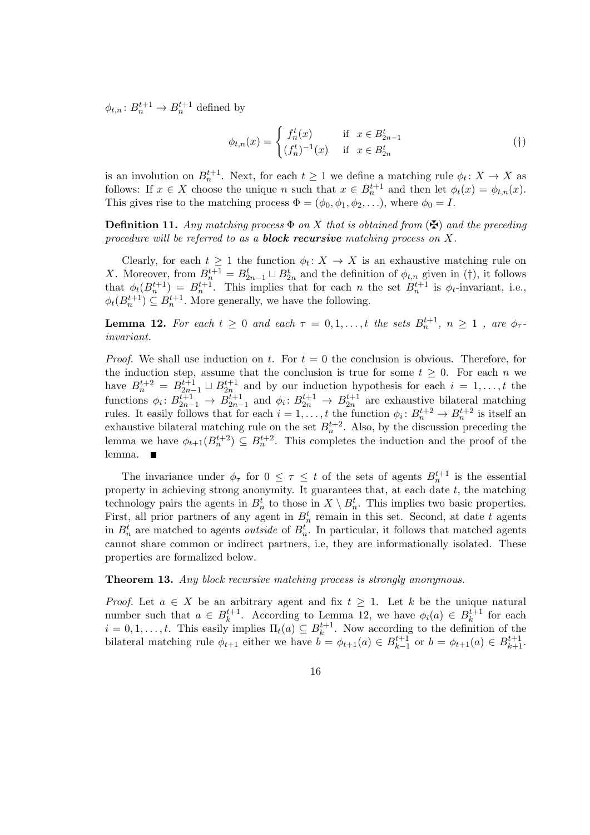$\phi_{t,n} : B_n^{t+1} \to B_n^{t+1}$  defined by

$$
\phi_{t,n}(x) = \begin{cases} f_n^t(x) & \text{if } x \in B_{2n-1}^t \\ (f_n^t)^{-1}(x) & \text{if } x \in B_{2n}^t \end{cases} \tag{\dagger}
$$

is an involution on  $B_n^{t+1}$ . Next, for each  $t \geq 1$  we define a matching rule  $\phi_t \colon X \to X$  as follows: If  $x \in X$  choose the unique n such that  $x \in B_n^{t+1}$  and then let  $\phi_t(x) = \phi_{t,n}(x)$ . This gives rise to the matching process  $\Phi = (\phi_0, \phi_1, \phi_2, \ldots)$ , where  $\phi_0 = I$ .

**Definition 11.** Any matching process  $\Phi$  on X that is obtained from  $(\mathbf{\mathbf{\mathbf{\mathbf{\mathcal{F}}}}})$  and the preceding procedure will be referred to as a **block recursive** matching process on  $X$ .

Clearly, for each  $t \geq 1$  the function  $\phi_t \colon X \to X$  is an exhaustive matching rule on X. Moreover, from  $B_n^{t+1} = B_{2n-1}^t \sqcup B_{2n}^t$  and the definition of  $\phi_{t,n}$  given in (†), it follows that  $\phi_t(B_n^{t+1}) = B_n^{t+1}$ . This implies that for each *n* the set  $B_n^{t+1}$  is  $\phi_t$ -invariant, i.e.,  $\phi_t(B_n^{t+1}) \subseteq B_n^{t+1}$ . More generally, we have the following.

**Lemma 12.** For each  $t \geq 0$  and each  $\tau = 0, 1, ..., t$  the sets  $B_n^{t+1}$ ,  $n \geq 1$ , are  $\phi_{\tau}$ . invariant.

*Proof.* We shall use induction on t. For  $t = 0$  the conclusion is obvious. Therefore, for the induction step, assume that the conclusion is true for some  $t \geq 0$ . For each n we have  $B_n^{t+2} = B_{2n-1}^{t+1} \sqcup B_{2n}^{t+1}$  and by our induction hypothesis for each  $i = 1, \ldots, t$  the functions  $\phi_i: B_{2n-1}^{t+1} \to B_{2n-1}^{t+1}$  and  $\phi_i: B_{2n}^{t+1} \to B_{2n}^{t+1}$  are exhaustive bilateral matching rules. It easily follows that for each  $i = 1, ..., t$  the function  $\phi_i : B_n^{t+2} \to B_n^{t+2}$  is itself an exhaustive bilateral matching rule on the set  $B_n^{t+2}$ . Also, by the discussion preceding the lemma we have  $\phi_{t+1}(B_n^{t+2}) \subseteq B_n^{t+2}$ . This completes the induction and the proof of the lemma.

The invariance under  $\phi_{\tau}$  for  $0 \leq \tau \leq t$  of the sets of agents  $B_n^{t+1}$  is the essential property in achieving strong anonymity. It guarantees that, at each date  $t$ , the matching technology pairs the agents in  $B_n^t$  to those in  $X \setminus B_n^t$ . This implies two basic properties. First, all prior partners of any agent in  $B_n^t$  remain in this set. Second, at date t agents in  $B_n^t$  are matched to agents *outside* of  $B_n^t$ . In particular, it follows that matched agents cannot share common or indirect partners, i.e, they are informationally isolated. These properties are formalized below.

Theorem 13. Any block recursive matching process is strongly anonymous.

*Proof.* Let  $a \in X$  be an arbitrary agent and fix  $t \geq 1$ . Let k be the unique natural number such that  $a \in B_k^{t+1}$  $k^{t+1}$ . According to Lemma 12, we have  $\phi_i(a) \in B_k^{t+1}$ .  $k^{t+1}$  for each  $i = 0, 1, \ldots, t$ . This easily implies  $\Pi_t(a) \subseteq B_k^{t+1}$  $k^{t+1}$ . Now according to the definition of the bilateral matching rule  $\phi_{t+1}$  either we have  $\mathbf{b} = \phi_{t+1}(a) \in B_{k-1}^{t+1}$  $_{k-1}^{t+1}$  or  $b = \phi_{t+1}(a) \in B_{k+1}^{t+1}$ .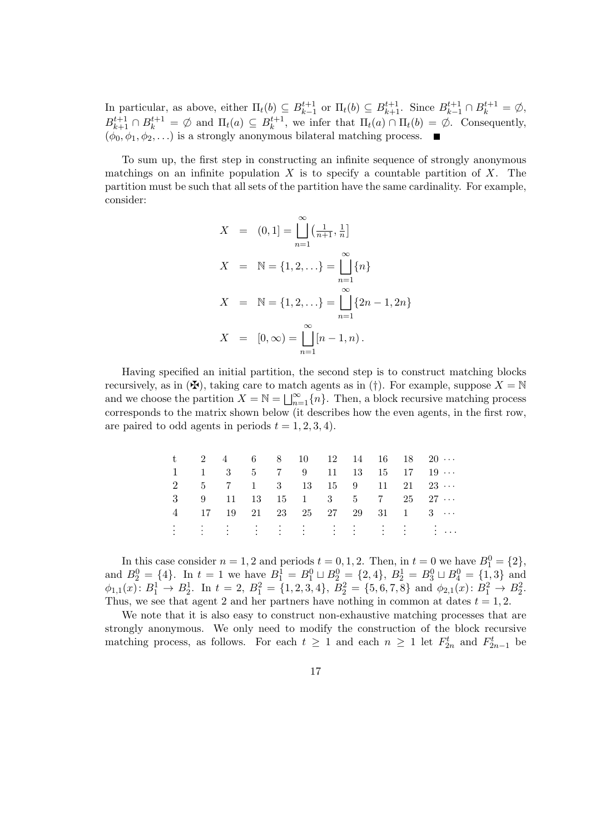In particular, as above, either  $\Pi_t(b) \subseteq B_{k-1}^{t+1}$  $k_{k-1}^{t+1}$  or  $\Pi_t(b) \subseteq B_{k+1}^{t+1}$ . Since  $B_{k-1}^{t+1} \cap B_k^{t+1} = \emptyset$ ,  $B_{k+1}^{t+1} \cap B_k^{t+1} = \emptyset$  and  $\Pi_t(a) \subseteq B_k^{t+1}$  $k^{t+1}$ , we infer that  $\Pi_t(a) \cap \Pi_t(b) = \emptyset$ . Consequently,  $(\phi_0, \phi_1, \phi_2, \ldots)$  is a strongly anonymous bilateral matching process.

To sum up, the first step in constructing an infinite sequence of strongly anonymous matchings on an infinite population  $X$  is to specify a countable partition of  $X$ . The partition must be such that all sets of the partition have the same cardinality. For example, consider:

$$
X = (0, 1] = \prod_{n=1}^{\infty} \left(\frac{1}{n+1}, \frac{1}{n}\right]
$$
  
\n
$$
X = \mathbb{N} = \{1, 2, \ldots\} = \prod_{n=1}^{\infty} \{n\}
$$
  
\n
$$
X = \mathbb{N} = \{1, 2, \ldots\} = \prod_{n=1}^{\infty} \{2n - 1, 2n\}
$$
  
\n
$$
X = [0, \infty) = \prod_{n=1}^{\infty} [n - 1, n).
$$

Having specified an initial partition, the second step is to construct matching blocks recursively, as in  $(\mathbf{H})$ , taking care to match agents as in (†). For example, suppose  $X = \mathbb{N}$ and we choose the partition  $X = \mathbb{N} = \bigsqcup_{n=1}^{\infty} \{n\}$ . Then, a block recursive matching process corresponds to the matrix shown below (it describes how the even agents, in the first row, are paired to odd agents in periods  $t = 1, 2, 3, 4$ .

|  |  |  |  |  | $t$ 2 4 6 8 10 12 14 16 18 20                                           |
|--|--|--|--|--|-------------------------------------------------------------------------|
|  |  |  |  |  | $1 \t 1 \t 3 \t 5 \t 7 \t 9 \t 11 \t 13 \t 15 \t 17 \t 19 \cdots$       |
|  |  |  |  |  | $2 \t 5 \t 7 \t 1 \t 3 \t 13 \t 15 \t 9 \t 11 \t 21 \t 23 \cdots$       |
|  |  |  |  |  | $3 \t 9 \t 11 \t 13 \t 15 \t 1 \t 3 \t 5 \t 7 \t 25 \t 27 \t \cdots$    |
|  |  |  |  |  | $4 \t 17 \t 19 \t 21 \t 23 \t 25 \t 27 \t 29 \t 31 \t 1 \t 3 \t \cdots$ |
|  |  |  |  |  | En de la Grande de la Grande d'Ale                                      |

In this case consider  $n = 1, 2$  and periods  $t = 0, 1, 2$ . Then, in  $t = 0$  we have  $B_1^0 = \{2\}$ , and  $B_2^0 = \{4\}$ . In  $t = 1$  we have  $B_1^1 = B_1^0 \sqcup B_2^0 = \{2, 4\}$ ,  $B_2^1 = B_3^0 \sqcup B_4^0 = \{1, 3\}$  and  $\phi_{1,1}(x) \colon B_1^1 \to B_2^1$ . In  $t = 2$ ,  $B_1^2 = \{1, 2, 3, 4\}$ ,  $B_2^2 = \{5, 6, 7, 8\}$  and  $\phi_{2,1}(x) \colon B_1^2 \to B_2^2$ . Thus, we see that agent 2 and her partners have nothing in common at dates  $t = 1, 2$ .

We note that it is also easy to construct non-exhaustive matching processes that are strongly anonymous. We only need to modify the construction of the block recursive matching process, as follows. For each  $t \geq 1$  and each  $n \geq 1$  let  $F_{2n}^t$  and  $F_{2n-1}^t$  be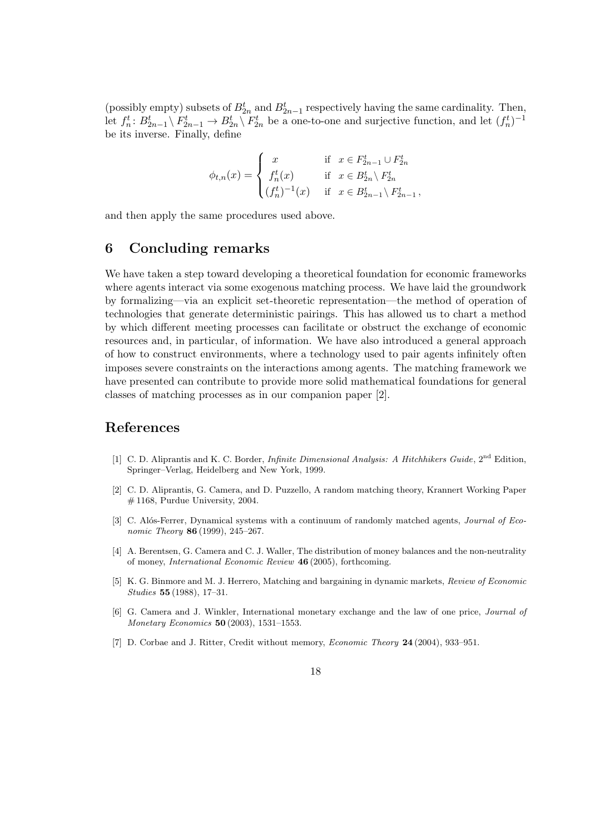(possibly empty) subsets of  $B_{2n}^t$  and  $B_{2n-1}^t$  respectively having the same cardinality. Then, let  $f_n^t: B_{2n-1}^t \setminus F_{2n-1}^t \to B_{2n}^t \setminus F_{2n}^t$  be a one-to-one and surjective function, and let  $(f_n^t)^{-1}$ be its inverse. Finally, define

$$
\phi_{t,n}(x) = \begin{cases}\nx & \text{if } x \in F_{2n-1}^t \cup F_{2n}^t \\
f_n^t(x) & \text{if } x \in B_{2n}^t \setminus F_{2n}^t \\
(f_n^t)^{-1}(x) & \text{if } x \in B_{2n-1}^t \setminus F_{2n-1}^t,\n\end{cases}
$$

and then apply the same procedures used above.

#### 6 Concluding remarks

We have taken a step toward developing a theoretical foundation for economic frameworks where agents interact via some exogenous matching process. We have laid the groundwork by formalizing—via an explicit set-theoretic representation—the method of operation of technologies that generate deterministic pairings. This has allowed us to chart a method by which different meeting processes can facilitate or obstruct the exchange of economic resources and, in particular, of information. We have also introduced a general approach of how to construct environments, where a technology used to pair agents infinitely often imposes severe constraints on the interactions among agents. The matching framework we have presented can contribute to provide more solid mathematical foundations for general classes of matching processes as in our companion paper [2].

#### References

- [1] C. D. Aliprantis and K. C. Border, Infinite Dimensional Analysis: A Hitchhikers Guide, 2nd Edition, Springer–Verlag, Heidelberg and New York, 1999.
- [2] C. D. Aliprantis, G. Camera, and D. Puzzello, A random matching theory, Krannert Working Paper  $# 1168$ , Purdue University, 2004.
- [3] C. Alós-Ferrer, Dynamical systems with a continuum of randomly matched agents, *Journal of Eco*nomic Theory **86** (1999), 245–267.
- [4] A. Berentsen, G. Camera and C. J. Waller, The distribution of money balances and the non-neutrality of money, International Economic Review 46 (2005), forthcoming.
- [5] K. G. Binmore and M. J. Herrero, Matching and bargaining in dynamic markets, Review of Economic Studies 55 (1988), 17–31.
- [6] G. Camera and J. Winkler, International monetary exchange and the law of one price, Journal of Monetary Economics 50 (2003), 1531–1553.
- [7] D. Corbae and J. Ritter, Credit without memory, *Economic Theory* 24 (2004), 933–951.